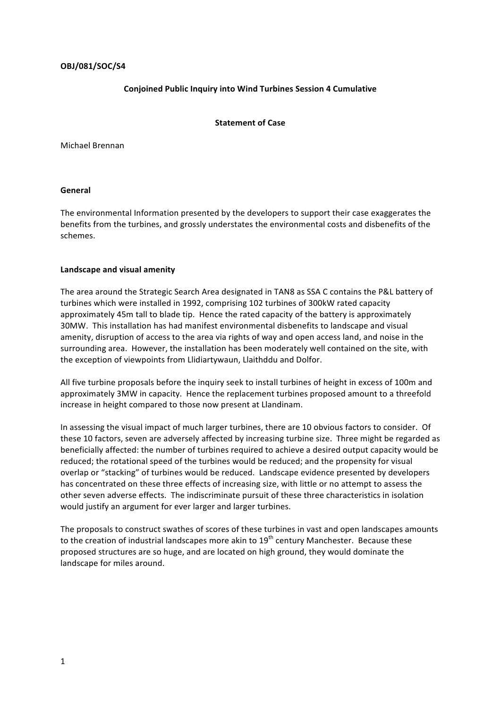# **OBJ/081/SOC/S4**

# **Conjoined Public Inquiry into Wind Turbines Session 4 Cumulative**

#### **Statement of Case**

Michael Brennan

### **General**

The environmental Information presented by the developers to support their case exaggerates the benefits from the turbines, and grossly understates the environmental costs and disbenefits of the schemes.

#### Landscape and visual amenity

The area around the Strategic Search Area designated in TAN8 as SSA C contains the P&L battery of turbines which were installed in 1992, comprising 102 turbines of 300kW rated capacity approximately 45m tall to blade tip. Hence the rated capacity of the battery is approximately 30MW. This installation has had manifest environmental disbenefits to landscape and visual amenity, disruption of access to the area via rights of way and open access land, and noise in the surrounding area. However, the installation has been moderately well contained on the site, with the exception of viewpoints from Llidiartywaun, Llaithddu and Dolfor.

All five turbine proposals before the inquiry seek to install turbines of height in excess of 100m and approximately 3MW in capacity. Hence the replacement turbines proposed amount to a threefold increase in height compared to those now present at Llandinam.

In assessing the visual impact of much larger turbines, there are 10 obvious factors to consider. Of these 10 factors, seven are adversely affected by increasing turbine size. Three might be regarded as beneficially affected: the number of turbines required to achieve a desired output capacity would be reduced; the rotational speed of the turbines would be reduced; and the propensity for visual overlap or "stacking" of turbines would be reduced. Landscape evidence presented by developers has concentrated on these three effects of increasing size, with little or no attempt to assess the other seven adverse effects. The indiscriminate pursuit of these three characteristics in isolation would justify an argument for ever larger and larger turbines.

The proposals to construct swathes of scores of these turbines in vast and open landscapes amounts to the creation of industrial landscapes more akin to  $19<sup>th</sup>$  century Manchester. Because these proposed structures are so huge, and are located on high ground, they would dominate the landscape for miles around.